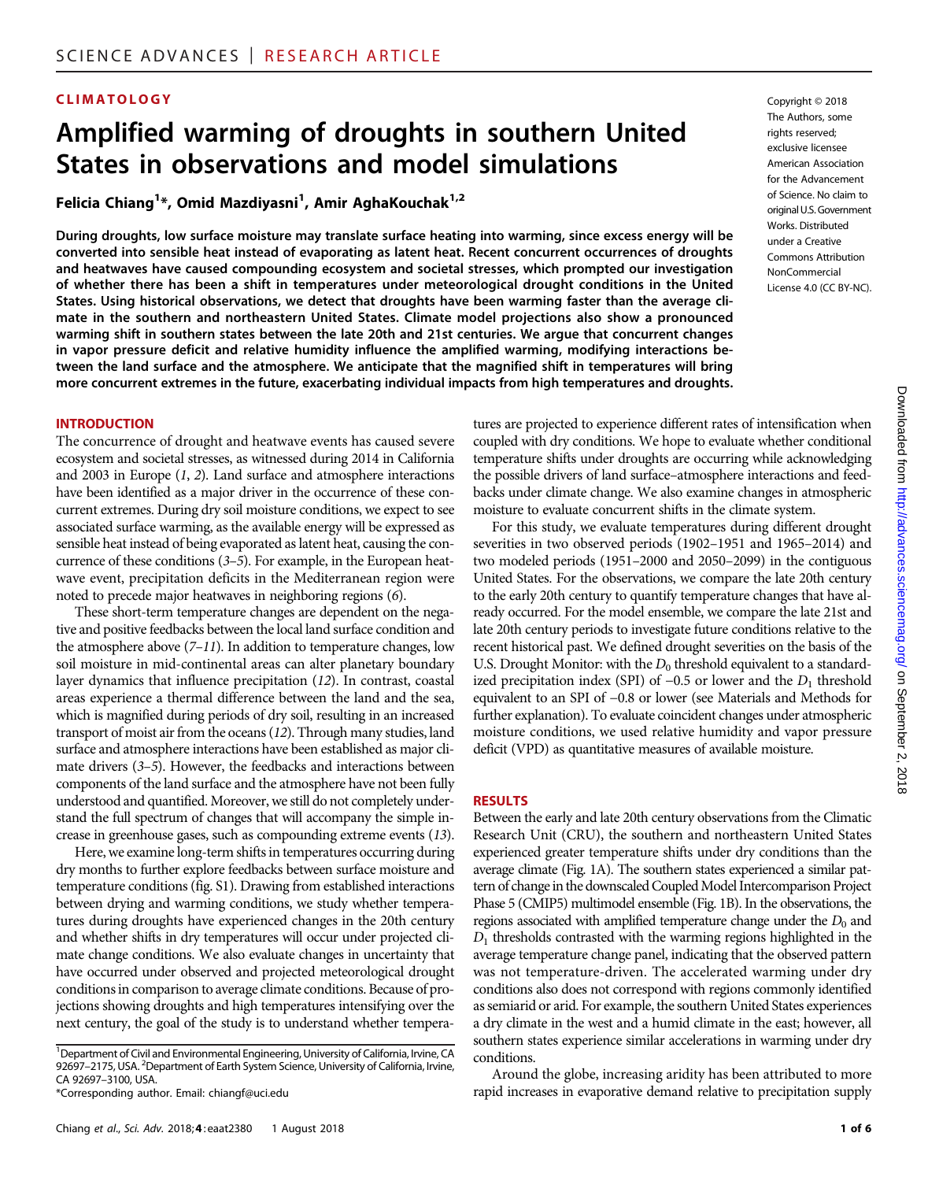# CLIMATOLOGY Copyright © 2018

# Amplified warming of droughts in southern United States in observations and model simulations

Felicia Chiang<sup>1\*</sup>, Omid Mazdiyasni<sup>1</sup>, Amir AghaKouchak<sup>1,2</sup>

During droughts, low surface moisture may translate surface heating into warming, since excess energy will be converted into sensible heat instead of evaporating as latent heat. Recent concurrent occurrences of droughts and heatwaves have caused compounding ecosystem and societal stresses, which prompted our investigation of whether there has been a shift in temperatures under meteorological drought conditions in the United States. Using historical observations, we detect that droughts have been warming faster than the average climate in the southern and northeastern United States. Climate model projections also show a pronounced warming shift in southern states between the late 20th and 21st centuries. We argue that concurrent changes in vapor pressure deficit and relative humidity influence the amplified warming, modifying interactions between the land surface and the atmosphere. We anticipate that the magnified shift in temperatures will bring more concurrent extremes in the future, exacerbating individual impacts from high temperatures and droughts.

#### INTRODUCTION

The concurrence of drought and heatwave events has caused severe ecosystem and societal stresses, as witnessed during 2014 in California and 2003 in Europe (1, 2). Land surface and atmosphere interactions have been identified as a major driver in the occurrence of these concurrent extremes. During dry soil moisture conditions, we expect to see associated surface warming, as the available energy will be expressed as sensible heat instead of being evaporated as latent heat, causing the concurrence of these conditions (3–5). For example, in the European heatwave event, precipitation deficits in the Mediterranean region were noted to precede major heatwaves in neighboring regions (6).

These short-term temperature changes are dependent on the negative and positive feedbacks between the local land surface condition and the atmosphere above  $(7-11)$ . In addition to temperature changes, low soil moisture in mid-continental areas can alter planetary boundary layer dynamics that influence precipitation (12). In contrast, coastal areas experience a thermal difference between the land and the sea, which is magnified during periods of dry soil, resulting in an increased transport of moist air from the oceans (12). Through many studies, land surface and atmosphere interactions have been established as major climate drivers (3–5). However, the feedbacks and interactions between components of the land surface and the atmosphere have not been fully understood and quantified. Moreover, we still do not completely understand the full spectrum of changes that will accompany the simple increase in greenhouse gases, such as compounding extreme events (13).

Here, we examine long-term shifts in temperatures occurring during dry months to further explore feedbacks between surface moisture and temperature conditions (fig. S1). Drawing from established interactions between drying and warming conditions, we study whether temperatures during droughts have experienced changes in the 20th century and whether shifts in dry temperatures will occur under projected climate change conditions. We also evaluate changes in uncertainty that have occurred under observed and projected meteorological drought conditions in comparison to average climate conditions. Because of projections showing droughts and high temperatures intensifying over the next century, the goal of the study is to understand whether temperaThe Authors, some rights reserved: exclusive licensee American Association for the Advancement of Science. No claim to original U.S. Government Works. Distributed under a Creative Commons Attribution NonCommercial License 4.0 (CC BY-NC).

tures are projected to experience different rates of intensification when coupled with dry conditions. We hope to evaluate whether conditional temperature shifts under droughts are occurring while acknowledging the possible drivers of land surface–atmosphere interactions and feedbacks under climate change. We also examine changes in atmospheric moisture to evaluate concurrent shifts in the climate system.

For this study, we evaluate temperatures during different drought severities in two observed periods (1902–1951 and 1965–2014) and two modeled periods (1951–2000 and 2050–2099) in the contiguous United States. For the observations, we compare the late 20th century to the early 20th century to quantify temperature changes that have already occurred. For the model ensemble, we compare the late 21st and late 20th century periods to investigate future conditions relative to the recent historical past. We defined drought severities on the basis of the U.S. Drought Monitor: with the  $D_0$  threshold equivalent to a standardized precipitation index (SPI) of  $-0.5$  or lower and the  $D_1$  threshold equivalent to an SPI of −0.8 or lower (see Materials and Methods for further explanation). To evaluate coincident changes under atmospheric moisture conditions, we used relative humidity and vapor pressure deficit (VPD) as quantitative measures of available moisture.

### RESULTS

Between the early and late 20th century observations from the Climatic Research Unit (CRU), the southern and northeastern United States experienced greater temperature shifts under dry conditions than the average climate (Fig. 1A). The southern states experienced a similar pattern of change in the downscaled Coupled Model Intercomparison Project Phase 5 (CMIP5) multimodel ensemble (Fig. 1B). In the observations, the regions associated with amplified temperature change under the  $D_0$  and  $D_1$  thresholds contrasted with the warming regions highlighted in the average temperature change panel, indicating that the observed pattern was not temperature-driven. The accelerated warming under dry conditions also does not correspond with regions commonly identified as semiarid or arid. For example, the southern United States experiences a dry climate in the west and a humid climate in the east; however, all southern states experience similar accelerations in warming under dry conditions.

Around the globe, increasing aridity has been attributed to more rapid increases in evaporative demand relative to precipitation supply

<sup>&</sup>lt;sup>1</sup>Department of Civil and Environmental Engineering, University of California, Irvine, CA 92697-2175, USA. <sup>2</sup>Department of Earth System Science, University of California, Irvine, CA 92697–3100, USA.

<sup>\*</sup>Corresponding author. Email: chiangf@uci.edu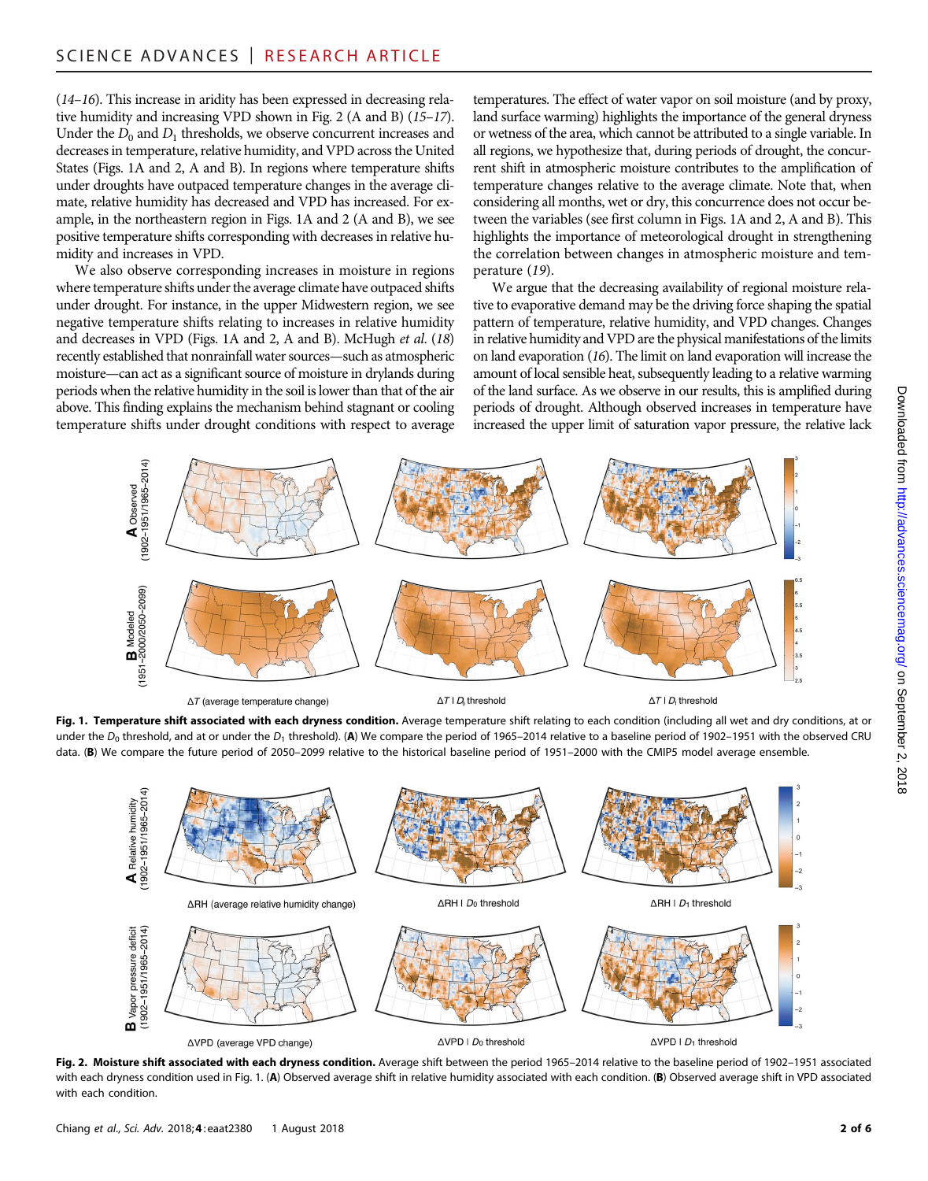(14–16). This increase in aridity has been expressed in decreasing relative humidity and increasing VPD shown in Fig. 2 (A and B) (15–17). Under the  $D_0$  and  $D_1$  thresholds, we observe concurrent increases and decreases in temperature, relative humidity, and VPD across the United States (Figs. 1A and 2, A and B). In regions where temperature shifts under droughts have outpaced temperature changes in the average climate, relative humidity has decreased and VPD has increased. For example, in the northeastern region in Figs. 1A and 2 (A and B), we see positive temperature shifts corresponding with decreases in relative humidity and increases in VPD.

We also observe corresponding increases in moisture in regions where temperature shifts under the average climate have outpaced shifts under drought. For instance, in the upper Midwestern region, we see negative temperature shifts relating to increases in relative humidity and decreases in VPD (Figs. 1A and 2, A and B). McHugh et al. (18) recently established that nonrainfall water sources—such as atmospheric moisture—can act as a significant source of moisture in drylands during periods when the relative humidity in the soil is lower than that of the air above. This finding explains the mechanism behind stagnant or cooling temperature shifts under drought conditions with respect to average temperatures. The effect of water vapor on soil moisture (and by proxy, land surface warming) highlights the importance of the general dryness or wetness of the area, which cannot be attributed to a single variable. In all regions, we hypothesize that, during periods of drought, the concurrent shift in atmospheric moisture contributes to the amplification of temperature changes relative to the average climate. Note that, when considering all months, wet or dry, this concurrence does not occur between the variables (see first column in Figs. 1A and 2, A and B). This highlights the importance of meteorological drought in strengthening the correlation between changes in atmospheric moisture and temperature (19).

We argue that the decreasing availability of regional moisture relative to evaporative demand may be the driving force shaping the spatial pattern of temperature, relative humidity, and VPD changes. Changes in relative humidity and VPD are the physical manifestations of the limits on land evaporation (16). The limit on land evaporation will increase the amount of local sensible heat, subsequently leading to a relative warming of the land surface. As we observe in our results, this is amplified during periods of drought. Although observed increases in temperature have increased the upper limit of saturation vapor pressure, the relative lack



Fig. 1. Temperature shift associated with each dryness condition. Average temperature shift relating to each condition (including all wet and dry conditions, at or under the  $D_0$  threshold, and at or under the  $D_1$  threshold). (A) We compare the period of 1965–2014 relative to a baseline period of 1902–1951 with the observed CRU data. (B) We compare the future period of 2050–2099 relative to the historical baseline period of 1951–2000 with the CMIP5 model average ensemble.



Fig. 2. Moisture shift associated with each dryness condition. Average shift between the period 1965-2014 relative to the baseline period of 1902-1951 associated with each dryness condition used in Fig. 1. (A) Observed average shift in relative humidity associated with each condition. (B) Observed average shift in VPD associated with each condition.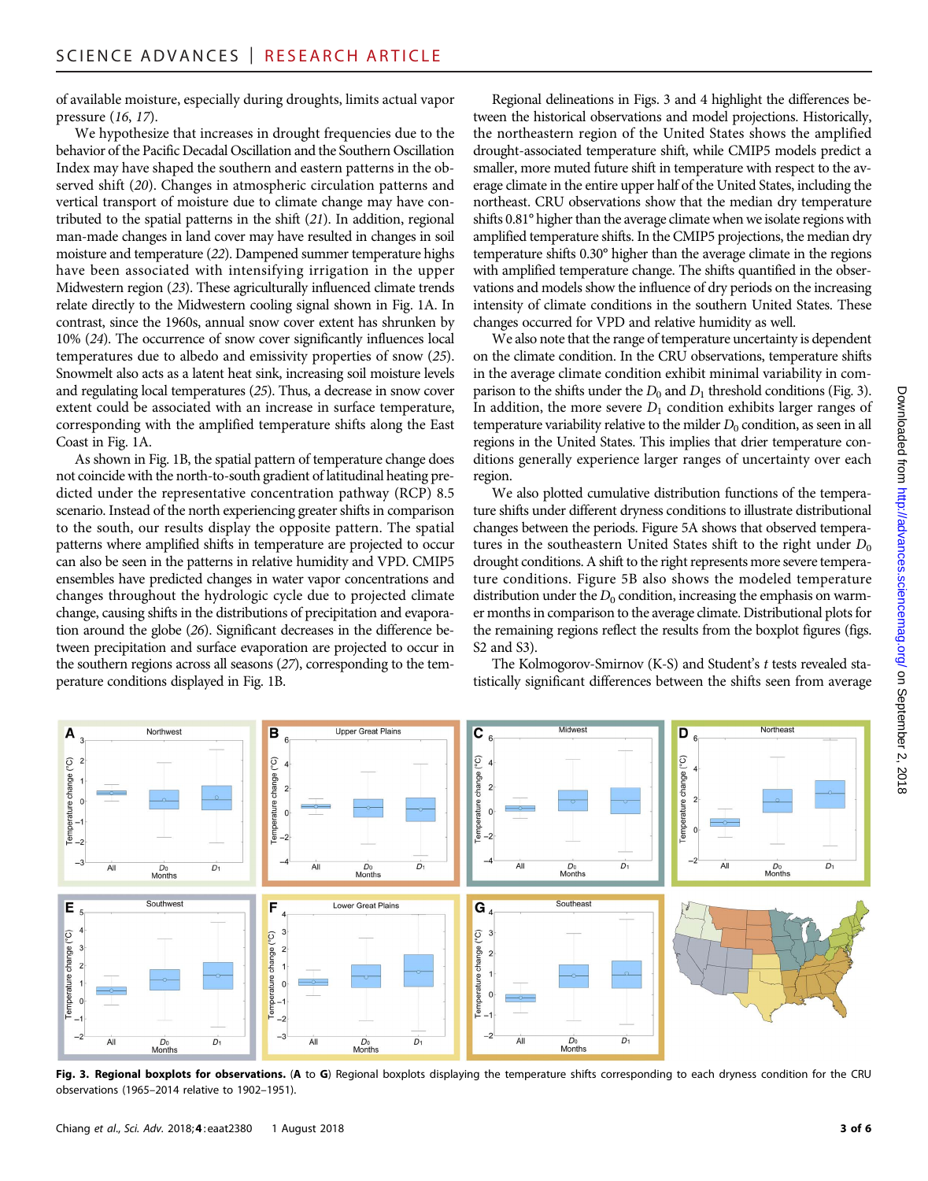of available moisture, especially during droughts, limits actual vapor pressure (16, 17).

We hypothesize that increases in drought frequencies due to the behavior of the Pacific Decadal Oscillation and the Southern Oscillation Index may have shaped the southern and eastern patterns in the observed shift (20). Changes in atmospheric circulation patterns and vertical transport of moisture due to climate change may have contributed to the spatial patterns in the shift (21). In addition, regional man-made changes in land cover may have resulted in changes in soil moisture and temperature (22). Dampened summer temperature highs have been associated with intensifying irrigation in the upper Midwestern region (23). These agriculturally influenced climate trends relate directly to the Midwestern cooling signal shown in Fig. 1A. In contrast, since the 1960s, annual snow cover extent has shrunken by 10% (24). The occurrence of snow cover significantly influences local temperatures due to albedo and emissivity properties of snow (25). Snowmelt also acts as a latent heat sink, increasing soil moisture levels and regulating local temperatures (25). Thus, a decrease in snow cover extent could be associated with an increase in surface temperature, corresponding with the amplified temperature shifts along the East Coast in Fig. 1A.

As shown in Fig. 1B, the spatial pattern of temperature change does not coincide with the north-to-south gradient of latitudinal heating predicted under the representative concentration pathway (RCP) 8.5 scenario. Instead of the north experiencing greater shifts in comparison to the south, our results display the opposite pattern. The spatial patterns where amplified shifts in temperature are projected to occur can also be seen in the patterns in relative humidity and VPD. CMIP5 ensembles have predicted changes in water vapor concentrations and changes throughout the hydrologic cycle due to projected climate change, causing shifts in the distributions of precipitation and evaporation around the globe (26). Significant decreases in the difference between precipitation and surface evaporation are projected to occur in the southern regions across all seasons (27), corresponding to the temperature conditions displayed in Fig. 1B.

Regional delineations in Figs. 3 and 4 highlight the differences between the historical observations and model projections. Historically, the northeastern region of the United States shows the amplified drought-associated temperature shift, while CMIP5 models predict a smaller, more muted future shift in temperature with respect to the average climate in the entire upper half of the United States, including the northeast. CRU observations show that the median dry temperature shifts 0.81° higher than the average climate when we isolate regions with amplified temperature shifts. In the CMIP5 projections, the median dry temperature shifts 0.30° higher than the average climate in the regions with amplified temperature change. The shifts quantified in the observations and models show the influence of dry periods on the increasing intensity of climate conditions in the southern United States. These changes occurred for VPD and relative humidity as well.

We also note that the range of temperature uncertainty is dependent on the climate condition. In the CRU observations, temperature shifts in the average climate condition exhibit minimal variability in comparison to the shifts under the  $D_0$  and  $D_1$  threshold conditions (Fig. 3). In addition, the more severe  $D_1$  condition exhibits larger ranges of temperature variability relative to the milder  $D_0$  condition, as seen in all regions in the United States. This implies that drier temperature conditions generally experience larger ranges of uncertainty over each region.

We also plotted cumulative distribution functions of the temperature shifts under different dryness conditions to illustrate distributional changes between the periods. Figure 5A shows that observed temperatures in the southeastern United States shift to the right under  $D_0$ drought conditions. A shift to the right represents more severe temperature conditions. Figure 5B also shows the modeled temperature distribution under the  $D_0$  condition, increasing the emphasis on warmer months in comparison to the average climate. Distributional plots for the remaining regions reflect the results from the boxplot figures (figs. S2 and S3).

The Kolmogorov-Smirnov (K-S) and Student's t tests revealed statistically significant differences between the shifts seen from average



Fig. 3. Regional boxplots for observations. (A to G) Regional boxplots displaying the temperature shifts corresponding to each dryness condition for the CRU observations (1965–2014 relative to 1902–1951).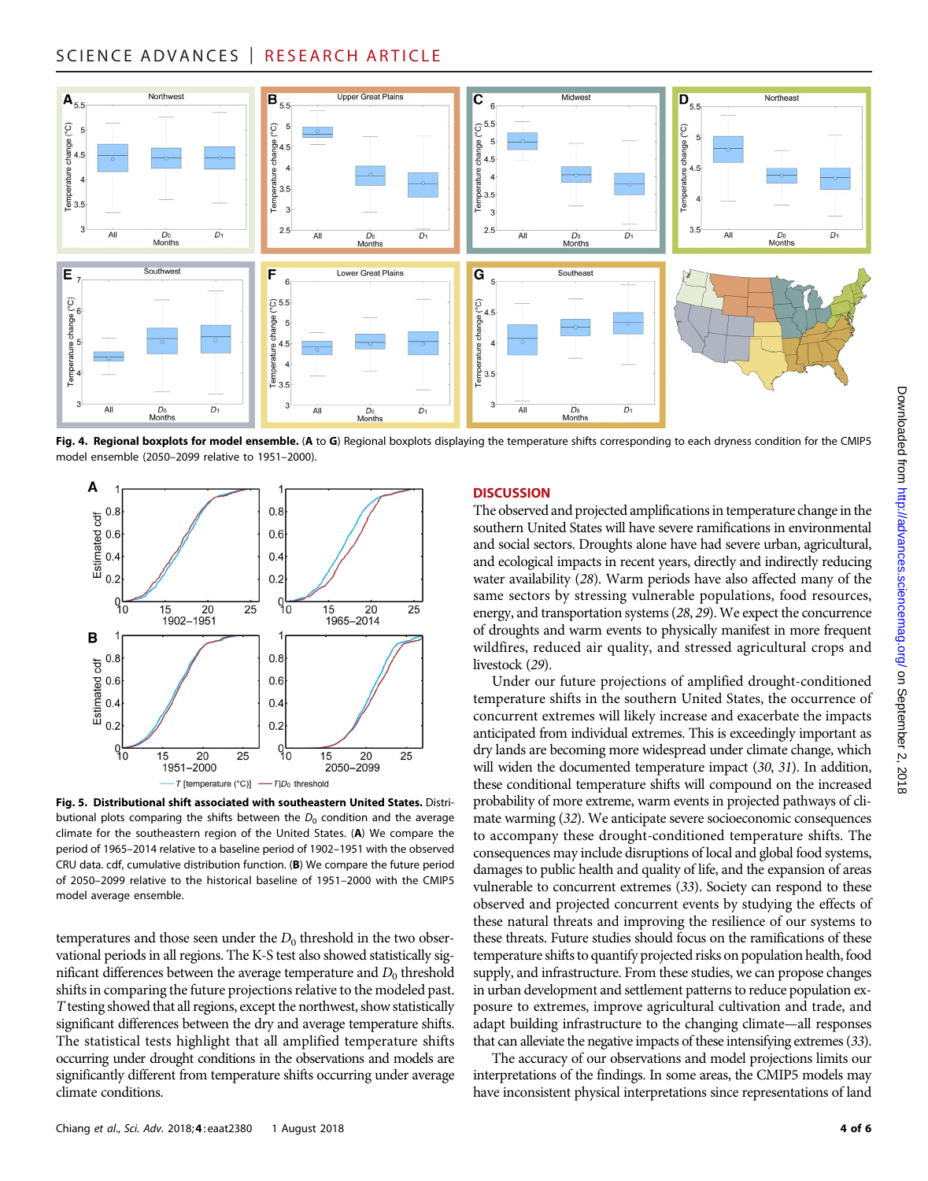# SCIENCE ADVANCES | RESEARCH ARTICLE



Fig. 4. Regional boxplots for model ensemble. (A to G) Regional boxplots displaying the temperature shifts corresponding to each dryness condition for the CMIP5 model ensemble (2050–2099 relative to 1951–2000).



Fig. 5. Distributional shift associated with southeastern United States. Distributional plots comparing the shifts between the  $D_0$  condition and the average climate for the southeastern region of the United States. (A) We compare the period of 1965–2014 relative to a baseline period of 1902–1951 with the observed CRU data. cdf, cumulative distribution function. (B) We compare the future period of 2050–2099 relative to the historical baseline of 1951–2000 with the CMIP5 model average ensemble.

temperatures and those seen under the  $D_0$  threshold in the two observational periods in all regions. The K-S test also showed statistically significant differences between the average temperature and  $D_0$  threshold shifts in comparing the future projections relative to the modeled past. T testing showed that all regions, except the northwest, show statistically significant differences between the dry and average temperature shifts. The statistical tests highlight that all amplified temperature shifts occurring under drought conditions in the observations and models are significantly different from temperature shifts occurring under average climate conditions.

# **DISCUSSION**

The observed and projected amplifications in temperature change in the southern United States will have severe ramifications in environmental and social sectors. Droughts alone have had severe urban, agricultural, and ecological impacts in recent years, directly and indirectly reducing water availability (28). Warm periods have also affected many of the same sectors by stressing vulnerable populations, food resources, energy, and transportation systems (28, 29). We expect the concurrence of droughts and warm events to physically manifest in more frequent wildfires, reduced air quality, and stressed agricultural crops and livestock (29).

Under our future projections of amplified drought-conditioned temperature shifts in the southern United States, the occurrence of concurrent extremes will likely increase and exacerbate the impacts anticipated from individual extremes. This is exceedingly important as dry lands are becoming more widespread under climate change, which will widen the documented temperature impact (30, 31). In addition, these conditional temperature shifts will compound on the increased probability of more extreme, warm events in projected pathways of climate warming (32). We anticipate severe socioeconomic consequences to accompany these drought-conditioned temperature shifts. The consequences may include disruptions of local and global food systems, damages to public health and quality of life, and the expansion of areas vulnerable to concurrent extremes (33). Society can respond to these observed and projected concurrent events by studying the effects of these natural threats and improving the resilience of our systems to these threats. Future studies should focus on the ramifications of these temperature shifts to quantify projected risks on population health, food supply, and infrastructure. From these studies, we can propose changes in urban development and settlement patterns to reduce population exposure to extremes, improve agricultural cultivation and trade, and adapt building infrastructure to the changing climate—all responses that can alleviate the negative impacts of these intensifying extremes (33).

The accuracy of our observations and model projections limits our interpretations of the findings. In some areas, the CMIP5 models may have inconsistent physical interpretations since representations of land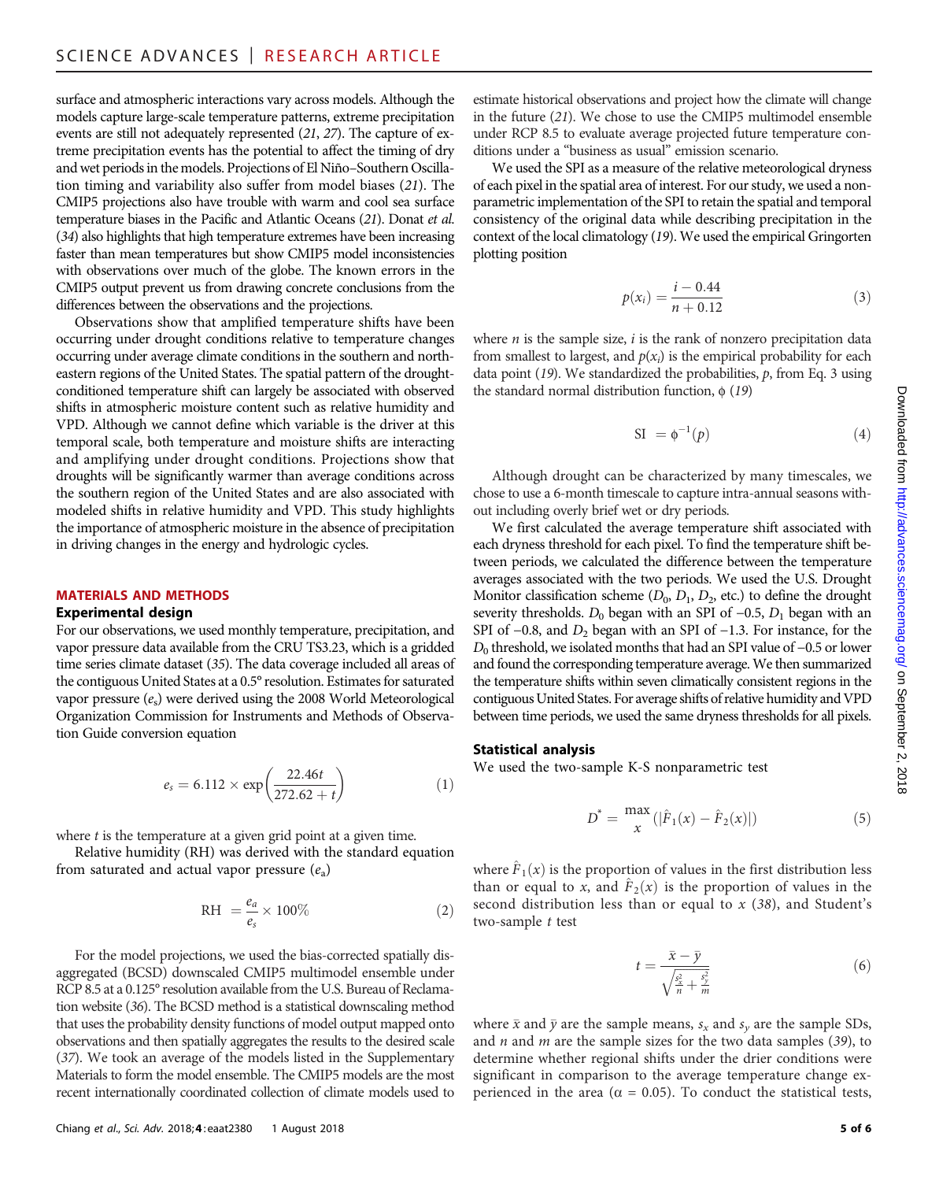surface and atmospheric interactions vary across models. Although the models capture large-scale temperature patterns, extreme precipitation events are still not adequately represented (21, 27). The capture of extreme precipitation events has the potential to affect the timing of dry and wet periods in the models. Projections of El Niño–Southern Oscillation timing and variability also suffer from model biases (21). The CMIP5 projections also have trouble with warm and cool sea surface temperature biases in the Pacific and Atlantic Oceans (21). Donat et al. (34) also highlights that high temperature extremes have been increasing faster than mean temperatures but show CMIP5 model inconsistencies with observations over much of the globe. The known errors in the CMIP5 output prevent us from drawing concrete conclusions from the differences between the observations and the projections.

Observations show that amplified temperature shifts have been occurring under drought conditions relative to temperature changes occurring under average climate conditions in the southern and northeastern regions of the United States. The spatial pattern of the droughtconditioned temperature shift can largely be associated with observed shifts in atmospheric moisture content such as relative humidity and VPD. Although we cannot define which variable is the driver at this temporal scale, both temperature and moisture shifts are interacting and amplifying under drought conditions. Projections show that droughts will be significantly warmer than average conditions across the southern region of the United States and are also associated with modeled shifts in relative humidity and VPD. This study highlights the importance of atmospheric moisture in the absence of precipitation in driving changes in the energy and hydrologic cycles.

# MATERIALS AND METHODS

#### Experimental design

For our observations, we used monthly temperature, precipitation, and vapor pressure data available from the CRU TS3.23, which is a gridded time series climate dataset (35). The data coverage included all areas of the contiguous United States at a 0.5° resolution. Estimates for saturated vapor pressure  $(e_s)$  were derived using the 2008 World Meteorological Organization Commission for Instruments and Methods of Observation Guide conversion equation

$$
e_s = 6.112 \times \exp\left(\frac{22.46t}{272.62 + t}\right) \tag{1}
$$

where  $t$  is the temperature at a given grid point at a given time.

Relative humidity (RH) was derived with the standard equation from saturated and actual vapor pressure  $(e_a)$ 

$$
RH = \frac{e_a}{e_s} \times 100\% \tag{2}
$$

For the model projections, we used the bias-corrected spatially disaggregated (BCSD) downscaled CMIP5 multimodel ensemble under RCP 8.5 at a 0.125° resolution available from the U.S. Bureau of Reclamation website (36). The BCSD method is a statistical downscaling method that uses the probability density functions of model output mapped onto observations and then spatially aggregates the results to the desired scale (37). We took an average of the models listed in the Supplementary Materials to form the model ensemble. The CMIP5 models are the most recent internationally coordinated collection of climate models used to

estimate historical observations and project how the climate will change in the future (21). We chose to use the CMIP5 multimodel ensemble under RCP 8.5 to evaluate average projected future temperature conditions under a "business as usual" emission scenario.

We used the SPI as a measure of the relative meteorological dryness of each pixel in the spatial area of interest. For our study, we used a nonparametric implementation of the SPI to retain the spatial and temporal consistency of the original data while describing precipitation in the context of the local climatology (19). We used the empirical Gringorten plotting position

$$
p(x_i) = \frac{i - 0.44}{n + 0.12} \tag{3}
$$

where  $n$  is the sample size,  $i$  is the rank of nonzero precipitation data from smallest to largest, and  $p(x_i)$  is the empirical probability for each data point  $(19)$ . We standardized the probabilities,  $p$ , from Eq. 3 using the standard normal distribution function,  $\phi$  (19)

$$
SI = \phi^{-1}(p) \tag{4}
$$

Although drought can be characterized by many timescales, we chose to use a 6-month timescale to capture intra-annual seasons without including overly brief wet or dry periods.

We first calculated the average temperature shift associated with each dryness threshold for each pixel. To find the temperature shift between periods, we calculated the difference between the temperature averages associated with the two periods. We used the U.S. Drought Monitor classification scheme  $(D_0, D_1, D_2,$  etc.) to define the drought severity thresholds.  $D_0$  began with an SPI of  $-0.5$ ,  $D_1$  began with an SPI of  $-0.8$ , and  $D_2$  began with an SPI of  $-1.3$ . For instance, for the  $D_0$  threshold, we isolated months that had an SPI value of  $-0.5$  or lower and found the corresponding temperature average. We then summarized the temperature shifts within seven climatically consistent regions in the contiguous United States. For average shifts of relative humidity and VPD between time periods, we used the same dryness thresholds for all pixels.

#### Statistical analysis

We used the two-sample K-S nonparametric test

$$
D^* = \frac{\max}{x} (|\hat{F}_1(x) - \hat{F}_2(x)|)
$$
 (5)

where  $\hat{F}_1(x)$  is the proportion of values in the first distribution less than or equal to x, and  $\hat{F}_2(x)$  is the proportion of values in the second distribution less than or equal to  $x$  (38), and Student's two-sample t test

$$
t = \frac{\bar{x} - \bar{y}}{\sqrt{\frac{s_x^2}{n} + \frac{s_y^2}{m}}}
$$
 (6)

where  $\bar{x}$  and  $\bar{y}$  are the sample means,  $s_x$  and  $s_y$  are the sample SDs, and  $n$  and  $m$  are the sample sizes for the two data samples (39), to determine whether regional shifts under the drier conditions were significant in comparison to the average temperature change experienced in the area ( $\alpha = 0.05$ ). To conduct the statistical tests,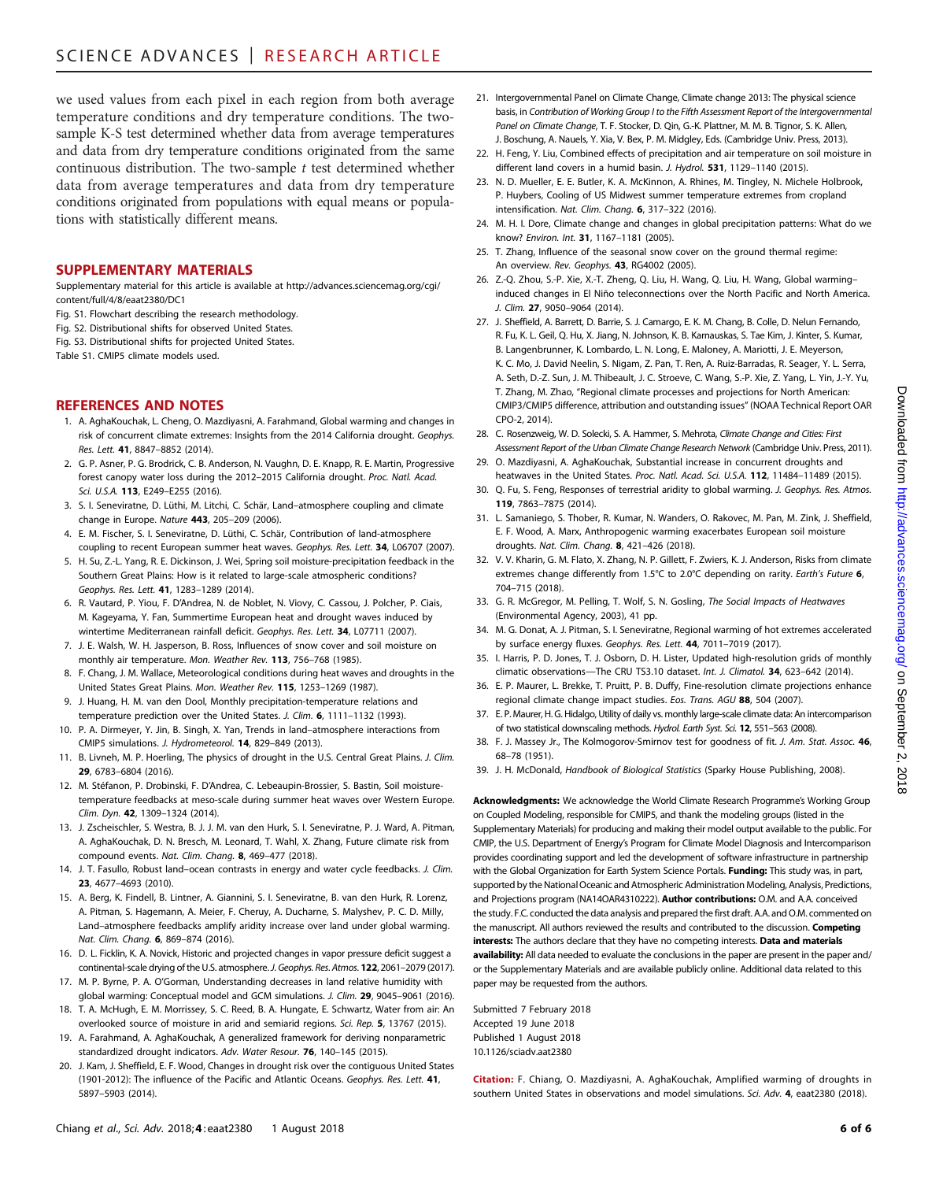we used values from each pixel in each region from both average temperature conditions and dry temperature conditions. The twosample K-S test determined whether data from average temperatures and data from dry temperature conditions originated from the same continuous distribution. The two-sample  $t$  test determined whether data from average temperatures and data from dry temperature conditions originated from populations with equal means or populations with statistically different means.

#### SUPPLEMENTARY MATERIALS

Supplementary material for this article is available at [http://advances.sciencemag.org/cgi/](http://advances.sciencemag.org/cgi/content/full/4/8/eaat2380/DC1) [content/full/4/8/eaat2380/DC1](http://advances.sciencemag.org/cgi/content/full/4/8/eaat2380/DC1)

- Fig. S1. Flowchart describing the research methodology.
- Fig. S2. Distributional shifts for observed United States.
- Fig. S3. Distributional shifts for projected United States.

Table S1. CMIP5 climate models used.

# REFERENCES AND NOTES

- 1. A. AghaKouchak, L. Cheng, O. Mazdiyasni, A. Farahmand, Global warming and changes in risk of concurrent climate extremes: Insights from the 2014 California drought. Geophys. Res. Lett. 41, 8847–8852 (2014).
- 2. G. P. Asner, P. G. Brodrick, C. B. Anderson, N. Vaughn, D. E. Knapp, R. E. Martin, Progressive forest canopy water loss during the 2012–2015 California drought. Proc. Natl. Acad. Sci. U.S.A. 113, E249–E255 (2016).
- 3. S. I. Seneviratne, D. Lüthi, M. Litchi, C. Schär, Land–atmosphere coupling and climate change in Europe. Nature 443, 205–209 (2006).
- 4. E. M. Fischer, S. I. Seneviratne, D. Lüthi, C. Schär, Contribution of land-atmosphere coupling to recent European summer heat waves. Geophys. Res. Lett. 34, L06707 (2007).
- 5. H. Su, Z.-L. Yang, R. E. Dickinson, J. Wei, Spring soil moisture-precipitation feedback in the Southern Great Plains: How is it related to large-scale atmospheric conditions? Geophys. Res. Lett. 41, 1283–1289 (2014).
- 6. R. Vautard, P. Yiou, F. D'Andrea, N. de Noblet, N. Viovy, C. Cassou, J. Polcher, P. Ciais, M. Kageyama, Y. Fan, Summertime European heat and drought waves induced by wintertime Mediterranean rainfall deficit. Geophys. Res. Lett. 34, L07711 (2007).
- 7. J. E. Walsh, W. H. Jasperson, B. Ross, Influences of snow cover and soil moisture on monthly air temperature. Mon. Weather Rev. 113, 756–768 (1985).
- 8. F. Chang, J. M. Wallace, Meteorological conditions during heat waves and droughts in the United States Great Plains. Mon. Weather Rev. 115, 1253–1269 (1987).
- 9. J. Huang, H. M. van den Dool, Monthly precipitation-temperature relations and temperature prediction over the United States. J. Clim. 6, 1111-1132 (1993).
- 10. P. A. Dirmeyer, Y. Jin, B. Singh, X. Yan, Trends in land–atmosphere interactions from CMIP5 simulations. J. Hydrometeorol. 14, 829–849 (2013).
- 11. B. Livneh, M. P. Hoerling, The physics of drought in the U.S. Central Great Plains. J. Clim. 29, 6783–6804 (2016).
- 12. M. Stéfanon, P. Drobinski, F. D'Andrea, C. Lebeaupin-Brossier, S. Bastin, Soil moisturetemperature feedbacks at meso-scale during summer heat waves over Western Europe. Clim. Dyn. 42, 1309–1324 (2014).
- 13. J. Zscheischler, S. Westra, B. J. J. M. van den Hurk, S. I. Seneviratne, P. J. Ward, A. Pitman, A. AghaKouchak, D. N. Bresch, M. Leonard, T. Wahl, X. Zhang, Future climate risk from compound events. Nat. Clim. Chang. 8, 469–477 (2018).
- 14. J. T. Fasullo, Robust land–ocean contrasts in energy and water cycle feedbacks. J. Clim. 23, 4677–4693 (2010).
- 15. A. Berg, K. Findell, B. Lintner, A. Giannini, S. I. Seneviratne, B. van den Hurk, R. Lorenz, A. Pitman, S. Hagemann, A. Meier, F. Cheruy, A. Ducharne, S. Malyshev, P. C. D. Milly, Land–atmosphere feedbacks amplify aridity increase over land under global warming. Nat. Clim. Chang. 6, 869–874 (2016).
- 16. D. L. Ficklin, K. A. Novick, Historic and projected changes in vapor pressure deficit suggest a continental-scale drying of the U.S. atmosphere. J. Geophys. Res. Atmos. 122, 2061-2079 (2017).
- 17. M. P. Byrne, P. A. O'Gorman, Understanding decreases in land relative humidity with global warming: Conceptual model and GCM simulations. J. Clim. 29, 9045-9061 (2016).
- 18. T. A. McHugh, E. M. Morrissey, S. C. Reed, B. A. Hungate, E. Schwartz, Water from air: An overlooked source of moisture in arid and semiarid regions. Sci. Rep. 5, 13767 (2015).
- 19. A. Farahmand, A. AghaKouchak, A generalized framework for deriving nonparametric standardized drought indicators. Adv. Water Resour. 76, 140–145 (2015).
- 20. J. Kam, J. Sheffield, E. F. Wood, Changes in drought risk over the contiguous United States (1901-2012): The influence of the Pacific and Atlantic Oceans. Geophys. Res. Lett. 41, 5897–5903 (2014).
- 21. Intergovernmental Panel on Climate Change, Climate change 2013: The physical science basis, in Contribution of Working Group I to the Fifth Assessment Report of the Intergovernmental Panel on Climate Change, T. F. Stocker, D. Qin, G.-K. Plattner, M. M. B. Tignor, S. K. Allen, J. Boschung, A. Nauels, Y. Xia, V. Bex, P. M. Midgley, Eds. (Cambridge Univ. Press, 2013).
- 22. H. Feng, Y. Liu, Combined effects of precipitation and air temperature on soil moisture in different land covers in a humid basin. J. Hydrol. 531, 1129-1140 (2015).
- 23. N. D. Mueller, E. E. Butler, K. A. McKinnon, A. Rhines, M. Tingley, N. Michele Holbrook, P. Huybers, Cooling of US Midwest summer temperature extremes from cropland intensification. Nat. Clim. Chang. 6, 317–322 (2016).
- 24. M. H. I. Dore, Climate change and changes in global precipitation patterns: What do we know? Environ. Int. 31, 1167–1181 (2005).
- 25. T. Zhang, Influence of the seasonal snow cover on the ground thermal regime: An overview. Rev. Geophys. 43, RG4002 (2005).
- 26. Z.-Q. Zhou, S.-P. Xie, X.-T. Zheng, Q. Liu, H. Wang, Q. Liu, H. Wang, Global warming– induced changes in El Niño teleconnections over the North Pacific and North America. J. Clim. 27, 9050–9064 (2014).
- 27. J. Sheffield, A. Barrett, D. Barrie, S. J. Camargo, E. K. M. Chang, B. Colle, D. Nelun Fernando, R. Fu, K. L. Geil, Q. Hu, X. Jiang, N. Johnson, K. B. Karnauskas, S. Tae Kim, J. Kinter, S. Kumar, B. Langenbrunner, K. Lombardo, L. N. Long, E. Maloney, A. Mariotti, J. E. Meyerson, K. C. Mo, J. David Neelin, S. Nigam, Z. Pan, T. Ren, A. Ruiz-Barradas, R. Seager, Y. L. Serra, A. Seth, D.-Z. Sun, J. M. Thibeault, J. C. Stroeve, C. Wang, S.-P. Xie, Z. Yang, L. Yin, J.-Y. Yu, T. Zhang, M. Zhao, "Regional climate processes and projections for North American: CMIP3/CMIP5 difference, attribution and outstanding issues" (NOAA Technical Report OAR CPO-2, 2014).
- 28. C. Rosenzweig, W. D. Solecki, S. A. Hammer, S. Mehrota, Climate Change and Cities: First Assessment Report of the Urban Climate Change Research Network (Cambridge Univ. Press, 2011).
- 29. O. Mazdiyasni, A. AghaKouchak, Substantial increase in concurrent droughts and heatwaves in the United States. Proc. Natl. Acad. Sci. U.S.A. 112, 11484-11489 (2015).
- 30. Q. Fu, S. Feng, Responses of terrestrial aridity to global warming. J. Geophys. Res. Atmos. 119, 7863–7875 (2014).
- 31. L. Samaniego, S. Thober, R. Kumar, N. Wanders, O. Rakovec, M. Pan, M. Zink, J. Sheffield, E. F. Wood, A. Marx, Anthropogenic warming exacerbates European soil moisture droughts. Nat. Clim. Chang. 8, 421–426 (2018).
- 32. V. V. Kharin, G. M. Flato, X. Zhang, N. P. Gillett, F. Zwiers, K. J. Anderson, Risks from climate extremes change differently from 1.5°C to 2.0°C depending on rarity. Earth's Future 6, 704–715 (2018).
- 33. G. R. McGregor, M. Pelling, T. Wolf, S. N. Gosling, The Social Impacts of Heatwaves (Environmental Agency, 2003), 41 pp.
- 34. M. G. Donat, A. J. Pitman, S. I. Seneviratne, Regional warming of hot extremes accelerated by surface energy fluxes. Geophys. Res. Lett. 44, 7011–7019 (2017).
- 35. I. Harris, P. D. Jones, T. J. Osborn, D. H. Lister, Updated high-resolution grids of monthly climatic observations—The CRU TS3.10 dataset. Int. J. Climatol. 34, 623–642 (2014).
- 36. E. P. Maurer, L. Brekke, T. Pruitt, P. B. Duffy, Fine-resolution climate projections enhance regional climate change impact studies. Eos. Trans. AGU 88, 504 (2007).
- 37. E. P. Maurer, H. G. Hidalgo, Utility of daily vs. monthly large-scale climate data: An intercomparison of two statistical downscaling methods. Hydrol. Earth Syst. Sci. 12, 551–563 (2008).
- 38. F. J. Massey Jr., The Kolmogorov-Smirnov test for goodness of fit. J. Am. Stat. Assoc. 46, 68–78 (1951).
- 39. J. H. McDonald, Handbook of Biological Statistics (Sparky House Publishing, 2008).

Acknowledgments: We acknowledge the World Climate Research Programme's Working Group on Coupled Modeling, responsible for CMIP5, and thank the modeling groups (listed in the Supplementary Materials) for producing and making their model output available to the public. For CMIP, the U.S. Department of Energy's Program for Climate Model Diagnosis and Intercomparison provides coordinating support and led the development of software infrastructure in partnership with the Global Organization for Earth System Science Portals. Funding: This study was, in part, supported by the National Oceanic and Atmospheric Administration Modeling, Analysis, Predictions, and Projections program (NA14OAR4310222). **Author contributions:** O.M. and A.A. conceived the study. F.C. conducted the data analysis and prepared the first draft. A.A. and O.M. commented on the manuscript. All authors reviewed the results and contributed to the discussion. Competing interests: The authors declare that they have no competing interests. Data and materials availability: All data needed to evaluate the conclusions in the paper are present in the paper and/ or the Supplementary Materials and are available publicly online. Additional data related to this paper may be requested from the authors.

Submitted 7 February 2018 Accepted 19 June 2018 Published 1 August 2018 10.1126/sciadv.aat2380

Citation: F. Chiang, O. Mazdiyasni, A. AghaKouchak, Amplified warming of droughts in southern United States in observations and model simulations. Sci. Adv. 4, eaat2380 (2018).